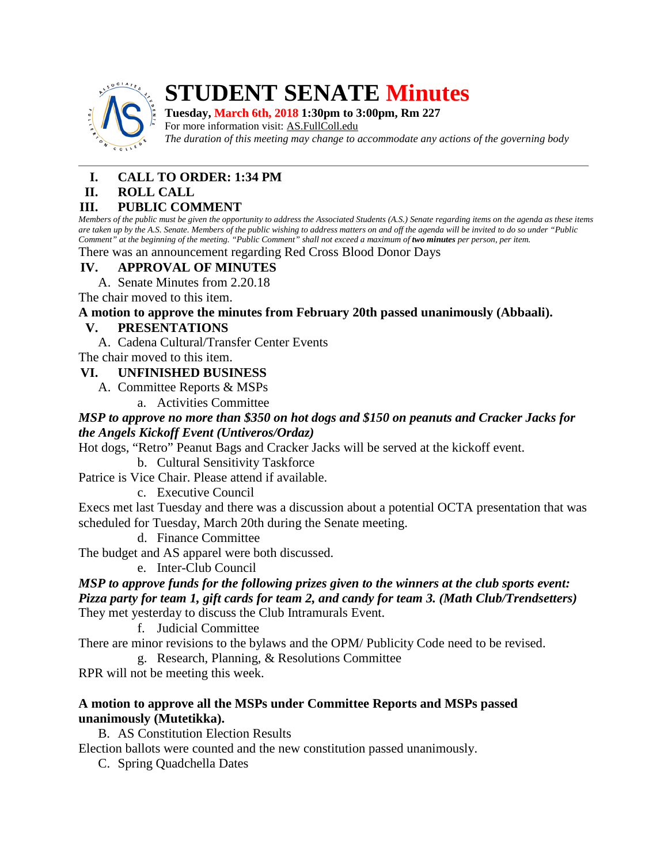

# **STUDENT SENATE Minutes**

**Tuesday, March 6th, 2018 1:30pm to 3:00pm, Rm 227**

For more information visit: AS.FullColl.edu *The duration of this meeting may change to accommodate any actions of the governing body*

# **I. CALL TO ORDER: 1:34 PM**

# **II. ROLL CALL**

# **III. PUBLIC COMMENT**

*Members of the public must be given the opportunity to address the Associated Students (A.S.) Senate regarding items on the agenda as these items are taken up by the A.S. Senate. Members of the public wishing to address matters on and off the agenda will be invited to do so under "Public Comment" at the beginning of the meeting. "Public Comment" shall not exceed a maximum of two minutes per person, per item.*

#### There was an announcement regarding Red Cross Blood Donor Days

# **IV. APPROVAL OF MINUTES**

A. Senate Minutes from 2.20.18

The chair moved to this item.

# **A motion to approve the minutes from February 20th passed unanimously (Abbaali).**

# **V. PRESENTATIONS**

A. Cadena Cultural/Transfer Center Events

The chair moved to this item.

# **VI. UNFINISHED BUSINESS**

A. Committee Reports & MSPs

a. Activities Committee

## *MSP to approve no more than \$350 on hot dogs and \$150 on peanuts and Cracker Jacks for the Angels Kickoff Event (Untiveros/Ordaz)*

Hot dogs, "Retro" Peanut Bags and Cracker Jacks will be served at the kickoff event.

## b. Cultural Sensitivity Taskforce

Patrice is Vice Chair. Please attend if available.

c. Executive Council

Execs met last Tuesday and there was a discussion about a potential OCTA presentation that was scheduled for Tuesday, March 20th during the Senate meeting.

d. Finance Committee

The budget and AS apparel were both discussed.

e. Inter-Club Council

### *MSP to approve funds for the following prizes given to the winners at the club sports event: Pizza party for team 1, gift cards for team 2, and candy for team 3. (Math Club/Trendsetters)* They met yesterday to discuss the Club Intramurals Event.

f. Judicial Committee

There are minor revisions to the bylaws and the OPM/ Publicity Code need to be revised.

g. Research, Planning, & Resolutions Committee

RPR will not be meeting this week.

## **A motion to approve all the MSPs under Committee Reports and MSPs passed unanimously (Mutetikka).**

B. AS Constitution Election Results

Election ballots were counted and the new constitution passed unanimously.

C. Spring Quadchella Dates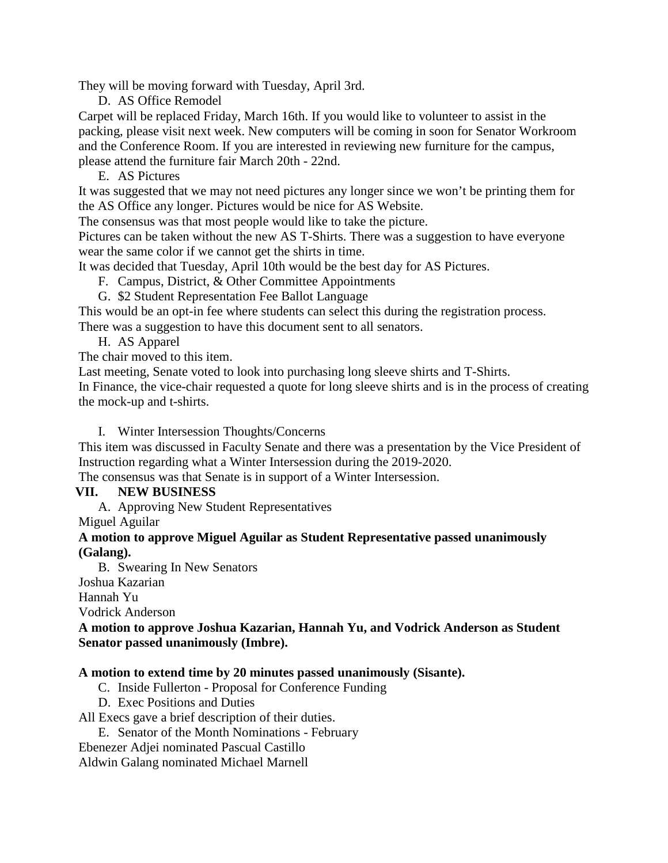They will be moving forward with Tuesday, April 3rd.

D. AS Office Remodel

Carpet will be replaced Friday, March 16th. If you would like to volunteer to assist in the packing, please visit next week. New computers will be coming in soon for Senator Workroom and the Conference Room. If you are interested in reviewing new furniture for the campus, please attend the furniture fair March 20th - 22nd.

E. AS Pictures

It was suggested that we may not need pictures any longer since we won't be printing them for the AS Office any longer. Pictures would be nice for AS Website.

The consensus was that most people would like to take the picture.

Pictures can be taken without the new AS T-Shirts. There was a suggestion to have everyone wear the same color if we cannot get the shirts in time.

It was decided that Tuesday, April 10th would be the best day for AS Pictures.

F. Campus, District, & Other Committee Appointments

G. \$2 Student Representation Fee Ballot Language

This would be an opt-in fee where students can select this during the registration process.

There was a suggestion to have this document sent to all senators.

H. AS Apparel

The chair moved to this item.

Last meeting, Senate voted to look into purchasing long sleeve shirts and T-Shirts.

In Finance, the vice-chair requested a quote for long sleeve shirts and is in the process of creating the mock-up and t-shirts.

I. Winter Intersession Thoughts/Concerns

This item was discussed in Faculty Senate and there was a presentation by the Vice President of Instruction regarding what a Winter Intersession during the 2019-2020.

The consensus was that Senate is in support of a Winter Intersession.

#### **VII. NEW BUSINESS**

A. Approving New Student Representatives

Miguel Aguilar

#### **A motion to approve Miguel Aguilar as Student Representative passed unanimously (Galang).**

B. Swearing In New Senators Joshua Kazarian Hannah Yu

Vodrick Anderson

#### **A motion to approve Joshua Kazarian, Hannah Yu, and Vodrick Anderson as Student Senator passed unanimously (Imbre).**

#### **A motion to extend time by 20 minutes passed unanimously (Sisante).**

- C. Inside Fullerton Proposal for Conference Funding
- D. Exec Positions and Duties

All Execs gave a brief description of their duties.

E. Senator of the Month Nominations - February

Ebenezer Adjei nominated Pascual Castillo

Aldwin Galang nominated Michael Marnell